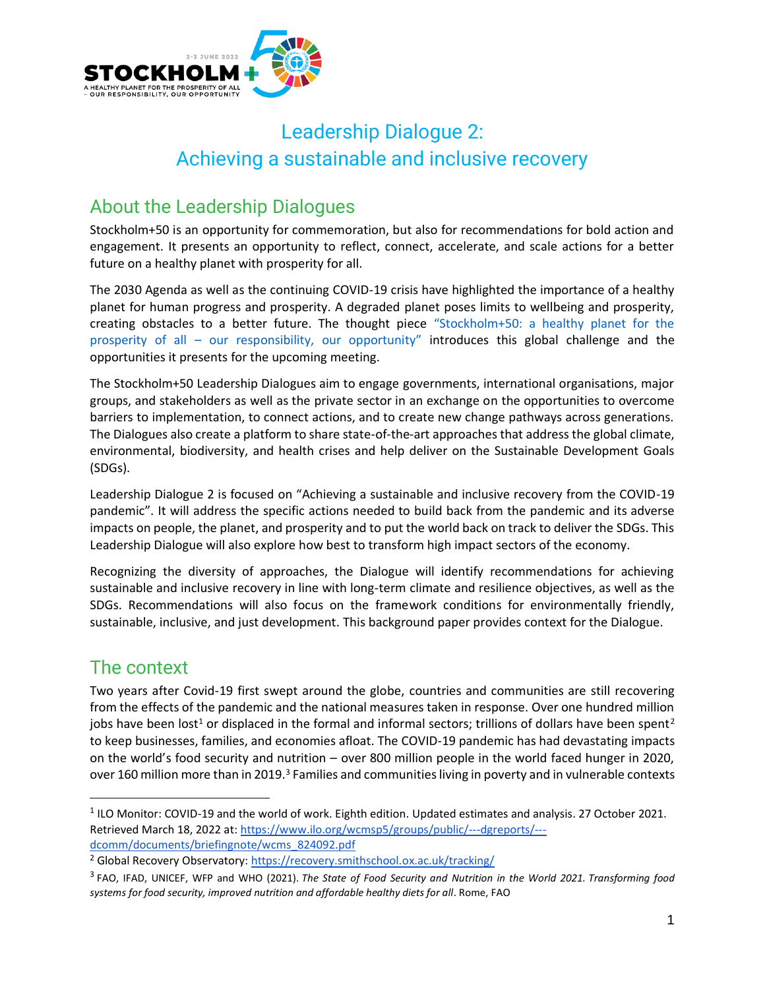

# Leadership Dialogue 2: Achieving a sustainable and inclusive recovery

# About the Leadership Dialogues

Stockholm+50 is an opportunity for commemoration, but also for recommendations for bold action and engagement. It presents an opportunity to reflect, connect, accelerate, and scale actions for a better future on a healthy planet with prosperity for all.

The 2030 Agenda as well as the continuing COVID-19 crisis have highlighted the importance of a healthy planet for human progress and prosperity. A degraded planet poses limits to wellbeing and prosperity, creating obstacles to a better future. The thought piece "Stockholm+50: a healthy planet for the prosperity of all – our responsibility, our opportunity" introduces this global challenge and the opportunities it presents for the upcoming meeting.

The Stockholm+50 Leadership Dialogues aim to engage governments, international organisations, major groups, and stakeholders as well as the private sector in an exchange on the opportunities to overcome barriers to implementation, to connect actions, and to create new change pathways across generations. The Dialogues also create a platform to share state-of-the-art approaches that address the global climate, environmental, biodiversity, and health crises and help deliver on the Sustainable Development Goals (SDGs).

Leadership Dialogue 2 is focused on "Achieving a sustainable and inclusive recovery from the COVID-19 pandemic". It will address the specific actions needed to build back from the pandemic and its adverse impacts on people, the planet, and prosperity and to put the world back on track to deliver the SDGs. This Leadership Dialogue will also explore how best to transform high impact sectors of the economy.

Recognizing the diversity of approaches, the Dialogue will identify recommendations for achieving sustainable and inclusive recovery in line with long-term climate and resilience objectives, as well as the SDGs. Recommendations will also focus on the framework conditions for environmentally friendly, sustainable, inclusive, and just development. This background paper provides context for the Dialogue.

# The context

Two years after Covid-19 first swept around the globe, countries and communities are still recovering from the effects of the pandemic and the national measures taken in response. Over one hundred million jobs have been lost<sup>1</sup> or displaced in the formal and informal sectors; trillions of dollars have been spent<sup>2</sup> to keep businesses, families, and economies afloat. The COVID-19 pandemic has had devastating impacts on the world's food security and nutrition – over 800 million people in the world faced hunger in 2020, over 160 million more than in 2019.<sup>3</sup> Families and communities living in poverty and in vulnerable contexts

 $<sup>1</sup>$  ILO Monitor: COVID-19 and the world of work. Eighth edition. Updated estimates and analysis. 27 October 2021.</sup> Retrieved March 18, 2022 at[: https://www.ilo.org/wcmsp5/groups/public/---dgreports/--](https://www.ilo.org/wcmsp5/groups/public/---dgreports/---dcomm/documents/briefingnote/wcms_824092.pdf) [dcomm/documents/briefingnote/wcms\\_824092.pdf](https://www.ilo.org/wcmsp5/groups/public/---dgreports/---dcomm/documents/briefingnote/wcms_824092.pdf)

<sup>&</sup>lt;sup>2</sup> Global Recovery Observatory:<https://recovery.smithschool.ox.ac.uk/tracking/>

<sup>3</sup> FAO, IFAD, UNICEF, WFP and WHO (2021). *The State of Food Security and Nutrition in the World 2021. Transforming food systems for food security, improved nutrition and affordable healthy diets for all*. Rome, FAO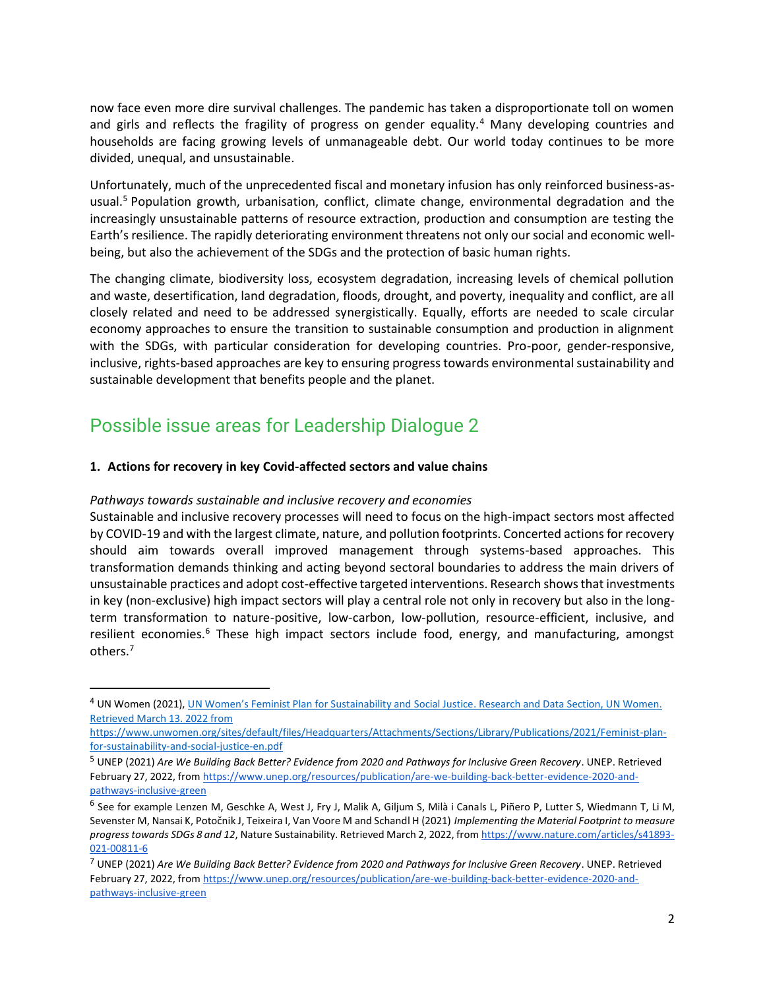now face even more dire survival challenges. The pandemic has taken a disproportionate toll on women and girls and reflects the fragility of progress on gender equality.<sup>4</sup> Many developing countries and households are facing growing levels of unmanageable debt. Our world today continues to be more divided, unequal, and unsustainable.

Unfortunately, much of the unprecedented fiscal and monetary infusion has only reinforced business-asusual.<sup>5</sup> Population growth, urbanisation, conflict, climate change, environmental degradation and the increasingly unsustainable patterns of resource extraction, production and consumption are testing the Earth's resilience. The rapidly deteriorating environment threatens not only our social and economic wellbeing, but also the achievement of the SDGs and the protection of basic human rights.

The changing climate, biodiversity loss, ecosystem degradation, increasing levels of chemical pollution and waste, desertification, land degradation, floods, drought, and poverty, inequality and conflict, are all closely related and need to be addressed synergistically. Equally, efforts are needed to scale circular economy approaches to ensure the transition to sustainable consumption and production in alignment with the SDGs, with particular consideration for developing countries. Pro-poor, gender-responsive, inclusive, rights-based approaches are key to ensuring progress towards environmental sustainability and sustainable development that benefits people and the planet.

### Possible issue areas for Leadership Dialogue 2

#### **1. Actions for recovery in key Covid-affected sectors and value chains**

#### *Pathways towards sustainable and inclusive recovery and economies*

Sustainable and inclusive recovery processes will need to focus on the high-impact sectors most affected by COVID-19 and with the largest climate, nature, and pollution footprints. Concerted actions for recovery should aim towards overall improved management through systems-based approaches. This transformation demands thinking and acting beyond sectoral boundaries to address the main drivers of unsustainable practices and adopt cost-effective targeted interventions. Research shows that investments in key (non-exclusive) high impact sectors will play a central role not only in recovery but also in the longterm transformation to nature-positive, low-carbon, low-pollution, resource-efficient, inclusive, and resilient economies.<sup>6</sup> These high impact sectors include food, energy, and manufacturing, amongst others.<sup>7</sup>

<sup>&</sup>lt;sup>4</sup> UN Women (2021), [UN Women's Feminist Plan for Sustainability and Social Justice](https://www.unwomen.org/en/digital-library/publications/2021/09/feminist-plan-for-sustainability-and-social-justice). Research and Data Section, UN Women. Retrieved March 13. 2022 from

[https://www.unwomen.org/sites/default/files/Headquarters/Attachments/Sections/Library/Publications/2021/Feminist-plan](https://www.unwomen.org/sites/default/files/Headquarters/Attachments/Sections/Library/Publications/2021/Feminist-plan-for-sustainability-and-social-justice-en.pdf)[for-sustainability-and-social-justice-en.pdf](https://www.unwomen.org/sites/default/files/Headquarters/Attachments/Sections/Library/Publications/2021/Feminist-plan-for-sustainability-and-social-justice-en.pdf)

<sup>5</sup> UNEP (2021) *Are We Building Back Better? Evidence from 2020 and Pathways for Inclusive Green Recovery*. UNEP. Retrieved February 27, 2022, fro[m https://www.unep.org/resources/publication/are-we-building-back-better-evidence-2020-and](https://www.unep.org/resources/publication/are-we-building-back-better-evidence-2020-and-pathways-inclusive-green)[pathways-inclusive-green](https://www.unep.org/resources/publication/are-we-building-back-better-evidence-2020-and-pathways-inclusive-green)

<sup>&</sup>lt;sup>6</sup> See for example Lenzen M, Geschke A, West J, Fry J, Malik A, Giljum S, Milà i Canals L, Piñero P, Lutter S, Wiedmann T, Li M, Sevenster M, Nansai K, Potočnik J, Teixeira I, Van Voore M and Schandl H (2021) *Implementing the Material Footprint to measure progress towards SDGs 8 and 12*, Nature Sustainability. Retrieved March 2, 2022, fro[m https://www.nature.com/articles/s41893-](https://www.nature.com/articles/s41893-021-00811-6) [021-00811-6](https://www.nature.com/articles/s41893-021-00811-6)

<sup>7</sup> UNEP (2021) *Are We Building Back Better? Evidence from 2020 and Pathways for Inclusive Green Recovery*. UNEP. Retrieved February 27, 2022, fro[m https://www.unep.org/resources/publication/are-we-building-back-better-evidence-2020-and](https://www.unep.org/resources/publication/are-we-building-back-better-evidence-2020-and-pathways-inclusive-green)[pathways-inclusive-green](https://www.unep.org/resources/publication/are-we-building-back-better-evidence-2020-and-pathways-inclusive-green)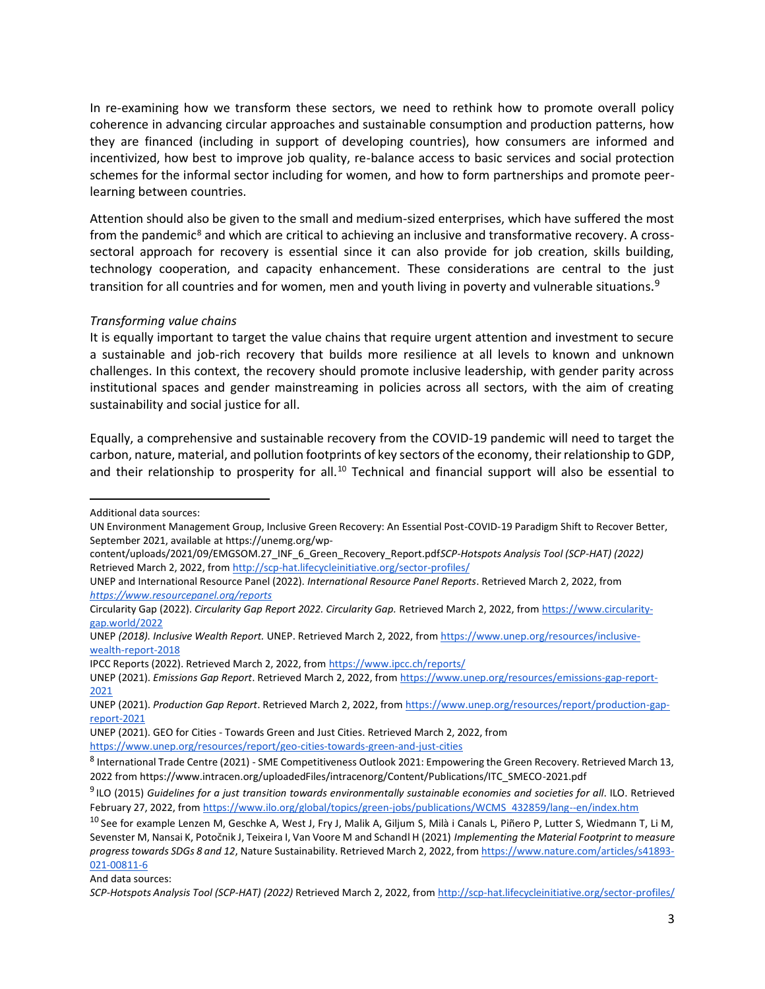In re-examining how we transform these sectors, we need to rethink how to promote overall policy coherence in advancing circular approaches and sustainable consumption and production patterns, how they are financed (including in support of developing countries), how consumers are informed and incentivized, how best to improve job quality, re-balance access to basic services and social protection schemes for the informal sector including for women, and how to form partnerships and promote peerlearning between countries.

Attention should also be given to the small and medium-sized enterprises, which have suffered the most from the pandemic<sup>8</sup> and which are critical to achieving an inclusive and transformative recovery. A crosssectoral approach for recovery is essential since it can also provide for job creation, skills building, technology cooperation, and capacity enhancement. These considerations are central to the just transition for all countries and for women, men and youth living in poverty and vulnerable situations.<sup>9</sup>

#### *Transforming value chains*

It is equally important to target the value chains that require urgent attention and investment to secure a sustainable and job-rich recovery that builds more resilience at all levels to known and unknown challenges. In this context, the recovery should promote inclusive leadership, with gender parity across institutional spaces and gender mainstreaming in policies across all sectors, with the aim of creating sustainability and social justice for all.

Equally, a comprehensive and sustainable recovery from the COVID-19 pandemic will need to target the carbon, nature, material, and pollution footprints of key sectors of the economy, their relationship to GDP, and their relationship to prosperity for all.<sup>10</sup> Technical and financial support will also be essential to

IPCC Reports (2022). Retrieved March 2, 2022, fro[m https://www.ipcc.ch/reports/](https://www.ipcc.ch/reports/)

UNEP (2021). GEO for Cities - Towards Green and Just Cities. Retrieved March 2, 2022, from <https://www.unep.org/resources/report/geo-cities-towards-green-and-just-cities>

And data sources:

Additional data sources:

UN Environment Management Group, Inclusive Green Recovery: An Essential Post-COVID-19 Paradigm Shift to Recover Better, September 2021, available at https://unemg.org/wp-

content/uploads/2021/09/EMGSOM.27\_INF\_6\_Green\_Recovery\_Report.pdf*SCP-Hotspots Analysis Tool (SCP-HAT) (2022)*  Retrieved March 2, 2022, fro[m http://scp-hat.lifecycleinitiative.org/sector-profiles/](http://scp-hat.lifecycleinitiative.org/sector-profiles/)

UNEP and International Resource Panel (2022). *International Resource Panel Reports*. Retrieved March 2, 2022, from *<https://www.resourcepanel.org/reports>*

Circularity Gap (2022). *Circularity Gap Report 2022. Circularity Gap.* Retrieved March 2, 2022, from [https://www.circularity](https://www.circularity-gap.world/2022)[gap.world/2022](https://www.circularity-gap.world/2022)

UNEP *(2018). Inclusive Wealth Report.* UNEP. Retrieved March 2, 2022, fro[m https://www.unep.org/resources/inclusive](https://www.unep.org/resources/inclusive-wealth-report-2018)[wealth-report-2018](https://www.unep.org/resources/inclusive-wealth-report-2018)

UNEP (2021). *Emissions Gap Report*. Retrieved March 2, 2022, fro[m https://www.unep.org/resources/emissions-gap-report-](https://www.unep.org/resources/emissions-gap-report-2021)[2021](https://www.unep.org/resources/emissions-gap-report-2021)

UNEP (2021). *Production Gap Report*. Retrieved March 2, 2022, fro[m https://www.unep.org/resources/report/production-gap](https://www.unep.org/resources/report/production-gap-report-2021)[report-2021](https://www.unep.org/resources/report/production-gap-report-2021)

<sup>&</sup>lt;sup>8</sup> International Trade Centre (2021) - SME Competitiveness Outlook 2021: Empowering the Green Recovery. Retrieved March 13, 2022 from https://www.intracen.org/uploadedFiles/intracenorg/Content/Publications/ITC\_SMECO-2021.pdf

<sup>9</sup> ILO (2015) *Guidelines for a just transition towards environmentally sustainable economies and societies for all*. ILO. Retrieved February 27, 2022, fro[m https://www.ilo.org/global/topics/green-jobs/publications/WCMS\\_432859/lang--en/index.htm](https://www.ilo.org/global/topics/green-jobs/publications/WCMS_432859/lang--en/index.htm)

<sup>&</sup>lt;sup>10</sup> See for example Lenzen M, Geschke A, West J, Fry J, Malik A, Giljum S, Milà i Canals L, Piñero P, Lutter S, Wiedmann T, Li M, Sevenster M, Nansai K, Potočnik J, Teixeira I, Van Voore M and Schandl H (2021) *Implementing the Material Footprint to measure progress towards SDGs 8 and 12*, Nature Sustainability. Retrieved March 2, 2022, fro[m https://www.nature.com/articles/s41893-](https://www.nature.com/articles/s41893-021-00811-6) [021-00811-6](https://www.nature.com/articles/s41893-021-00811-6)

*SCP-Hotspots Analysis Tool (SCP-HAT) (2022)* Retrieved March 2, 2022, fro[m http://scp-hat.lifecycleinitiative.org/sector-profiles/](http://scp-hat.lifecycleinitiative.org/sector-profiles/)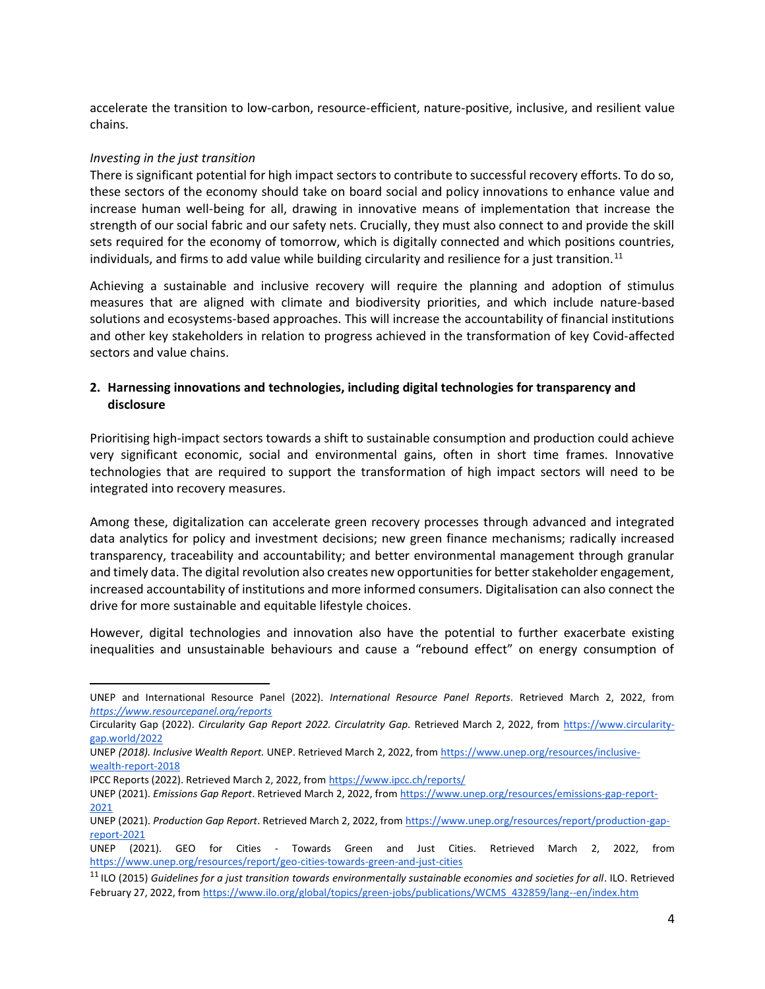accelerate the transition to [low-carbon, resource-efficient, nature-positive, inclusive, and resilient value](https://wwf.panda.org/discover/our_focus/food_practice/sustainable_production/?)  [chains.](https://wwf.panda.org/discover/our_focus/food_practice/sustainable_production/?)

#### *Investing in the just transition*

There is significant potential for high impact sectors to contribute to successful recovery efforts. To do so, these sectors of the economy should take on board social and policy innovations to enhance value and increase human well-being for all, drawing in innovative means of implementation that increase the strength of our social fabric and our safety nets. Crucially, they must also connect to and provide the skill sets required for the economy of tomorrow, which is digitally connected and which positions countries, individuals, and firms to add value while building circularity and resilience for a just transition.<sup>11</sup>

Achieving a sustainable and inclusive recovery will require the planning and adoption of stimulus measures that are aligned with climate and biodiversity priorities, and which include nature-based solutions and ecosystems-based approaches. This will increase the accountability of financial institutions and other key stakeholders in relation to progress achieved in the transformation of key Covid-affected sectors and value chains.

#### **2. Harnessing innovations and technologies, including digital technologies for transparency and disclosure**

Prioritising high-impact sectors towards a shift to sustainable consumption and production could achieve very significant economic, social and environmental gains, often in short time frames. Innovative technologies that are required to support the transformation of high impact sectors will need to be integrated into recovery measures.

Among these, digitalization can accelerate green recovery processes through advanced and integrated data analytics for policy and investment decisions; new green finance mechanisms; radically increased transparency, traceability and accountability; and better environmental management through granular and timely data. The digital revolution also creates new opportunities for better stakeholder engagement, increased accountability of institutions and more informed consumers. Digitalisation can also connect the drive for more sustainable and equitable lifestyle choices.

However, digital technologies and innovation also have the potential to further exacerbate existing inequalities and unsustainable behaviours and cause a "rebound effect" on energy consumption of

UNEP and International Resource Panel (2022). *International Resource Panel Reports*. Retrieved March 2, 2022, from *<https://www.resourcepanel.org/reports>*

Circularity Gap (2022). *Circularity Gap Report 2022. Circulatrity Gap.* Retrieved March 2, 2022, from [https://www.circularity](https://www.circularity-gap.world/2022)[gap.world/2022](https://www.circularity-gap.world/2022)

UNEP *(2018). Inclusive Wealth Report.* UNEP. Retrieved March 2, 2022, fro[m https://www.unep.org/resources/inclusive](https://www.unep.org/resources/inclusive-wealth-report-2018)[wealth-report-2018](https://www.unep.org/resources/inclusive-wealth-report-2018)

IPCC Reports (2022). Retrieved March 2, 2022, fro[m https://www.ipcc.ch/reports/](https://www.ipcc.ch/reports/)

UNEP (2021). *Emissions Gap Report*. Retrieved March 2, 2022, fro[m https://www.unep.org/resources/emissions-gap-report-](https://www.unep.org/resources/emissions-gap-report-2021)[2021](https://www.unep.org/resources/emissions-gap-report-2021)

UNEP (2021). *Production Gap Report*. Retrieved March 2, 2022, fro[m https://www.unep.org/resources/report/production-gap](https://www.unep.org/resources/report/production-gap-report-2021)[report-2021](https://www.unep.org/resources/report/production-gap-report-2021)

UNEP (2021). GEO for Cities - Towards Green and Just Cities. Retrieved March 2, 2022, from <https://www.unep.org/resources/report/geo-cities-towards-green-and-just-cities>

<sup>11</sup> ILO (2015) *Guidelines for a just transition towards environmentally sustainable economies and societies for all*. ILO. Retrieved February 27, 2022, fro[m https://www.ilo.org/global/topics/green-jobs/publications/WCMS\\_432859/lang--en/index.htm](https://www.ilo.org/global/topics/green-jobs/publications/WCMS_432859/lang--en/index.htm)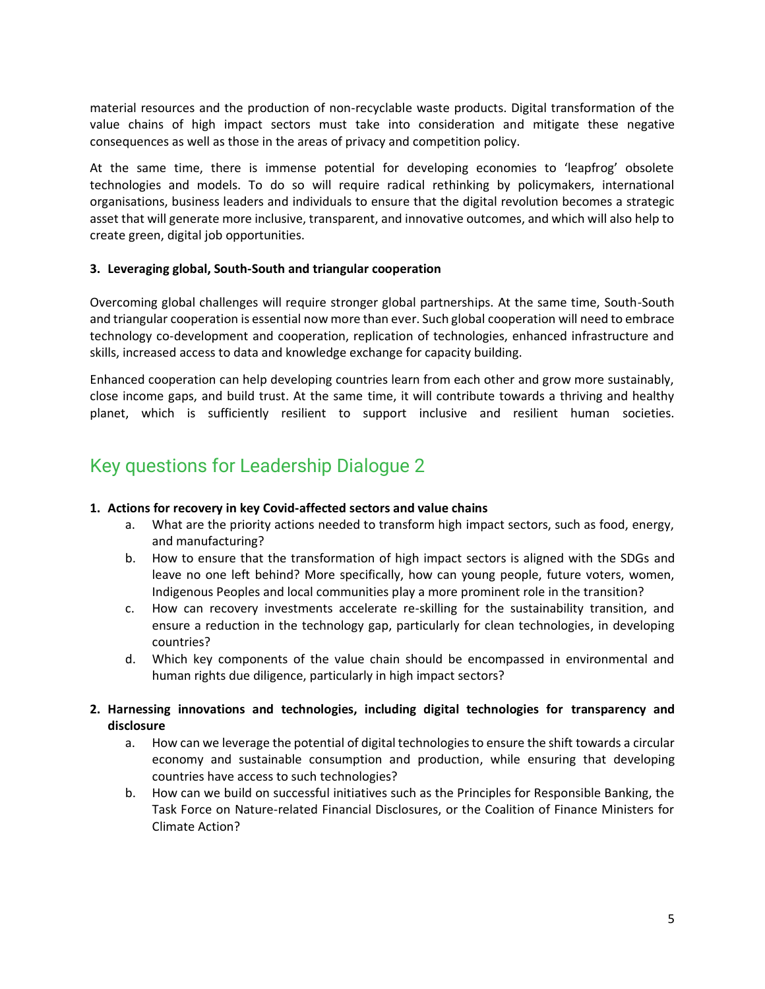material resources and the production of non-recyclable waste products. Digital transformation of the value chains of high impact sectors must take into consideration and mitigate these negative consequences as well as those in the areas of privacy and competition policy.

At the same time, there is immense potential for developing economies to 'leapfrog' obsolete technologies and models. To do so will require radical rethinking by policymakers, international organisations, business leaders and individuals to ensure that the digital revolution becomes a strategic asset that will generate more inclusive, transparent, and innovative outcomes, and which will also help to create green, digital job opportunities.

#### **3. Leveraging global, South-South and triangular cooperation**

Overcoming global challenges will require stronger global partnerships. At the same time, South-South and triangular cooperation is essential now more than ever. Such global cooperation will need to embrace technology co-development and cooperation, replication of technologies, enhanced infrastructure and skills, increased access to data and knowledge exchange for capacity building.

Enhanced cooperation can help developing countries learn from each other and grow more sustainably, close income gaps, and build trust. At the same time, it will contribute towards a thriving and healthy planet, which is sufficiently resilient to support inclusive and resilient human societies.

## Key questions for Leadership Dialogue 2

#### **1. Actions for recovery in key Covid-affected sectors and value chains**

- a. What are the priority actions needed to transform high impact sectors, such as food, energy, and manufacturing?
- b. How to ensure that the transformation of high impact sectors is aligned with the SDGs and leave no one left behind? More specifically, how can young people, future voters, women, Indigenous Peoples and local communities play a more prominent role in the transition?
- c. How can recovery investments accelerate re-skilling for the sustainability transition, and ensure a reduction in the technology gap, particularly for clean technologies, in developing countries?
- d. Which key components of the value chain should be encompassed in environmental and human rights due diligence, particularly in high impact sectors?
- **2. Harnessing innovations and technologies, including digital technologies for transparency and disclosure** 
	- a. How can we leverage the potential of digital technologies to ensure the shift towards a circular economy and sustainable consumption and production, while ensuring that developing countries have access to such technologies?
	- b. How can we build on successful initiatives such as the Principles for Responsible Banking, the Task Force on Nature-related Financial Disclosures, or the Coalition of Finance Ministers for Climate Action?